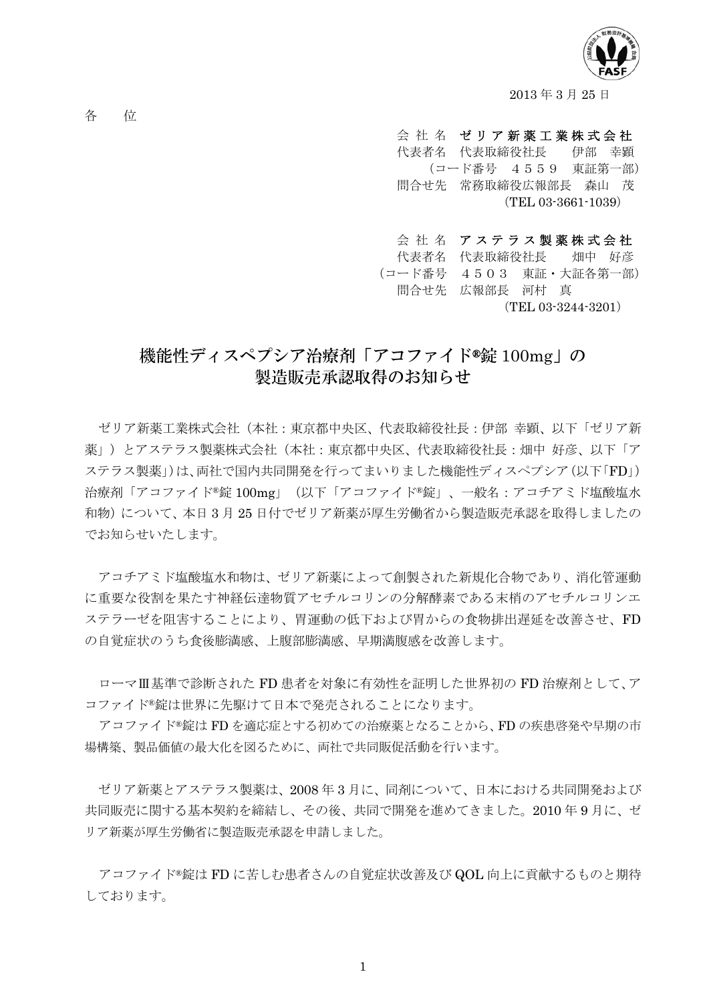

2013 年 3 月 25 日

会 社 名 ゼリア新薬工業株式会社

- 代表者名 代表取締役社長 伊部 幸顕 (コード番号 4559 東証第一部) 問合せ先 常務取締役広報部長 森山 茂 (TEL 03-3661-1039)
- 会社名 アステラス製薬株式会社

 代表者名 代表取締役社長 畑中 好彦 (コード番号 4503 東証・大証各第一部) 問合せ先 広報部長 河村 真

(TEL 03-3244-3201)

## 機能性ディスペプシア治療剤「アコファイド®錠 100mg」の 製造販売承認取得のお知らせ

ゼリア新薬工業株式会社(本社:東京都中央区、代表取締役社長:伊部 幸顕、以下「ゼリア新 薬」)とアステラス製薬株式会社(本社:東京都中央区、代表取締役社長:畑中 好彦、以下「ア ステラス製薬」)は、両社で国内共同開発を行ってまいりました機能性ディスペプシア(以下「FD」) 治療剤「アコファイド®錠 100mg」(以下「アコファイド®錠」、一般名:アコチアミド塩酸塩水 和物)について、本日 3 月 25 日付でゼリア新薬が厚生労働省から製造販売承認を取得しましたの でお知らせいたします。

アコチアミド塩酸塩水和物は、ゼリア新薬によって創製された新規化合物であり、消化管運動 に重要な役割を果たす神経伝達物質アセチルコリンの分解酵素である末梢のアセチルコリンエ ステラーゼを阻害することにより、胃運動の低下および胃からの食物排出遅延を改善させ、FD の自覚症状のうち食後膨満感、上腹部膨満感、早期満腹感を改善します。

ローマⅢ基準で診断された FD 患者を対象に有効性を証明した世界初の FD 治療剤として、ア コファイド®錠は世界に先駆けて日本で発売されることになります。

アコファイド®錠は FD を適応症とする初めての治療薬となることから、FD の疾患啓発や早期の市 場構築、製品価値の最大化を図るために、両社で共同販促活動を行います。

ゼリア新薬とアステラス製薬は、2008 年 3 月に、同剤について、日本における共同開発および 共同販売に関する基本契約を締結し、その後、共同で開発を進めてきました。2010 年 9 月に、ゼ リア新薬が厚生労働省に製造販売承認を申請しました。

アコファイド®錠は FD に苦しむ患者さんの自覚症状改善及び QOL 向上に貢献するものと期待 しております。

各 位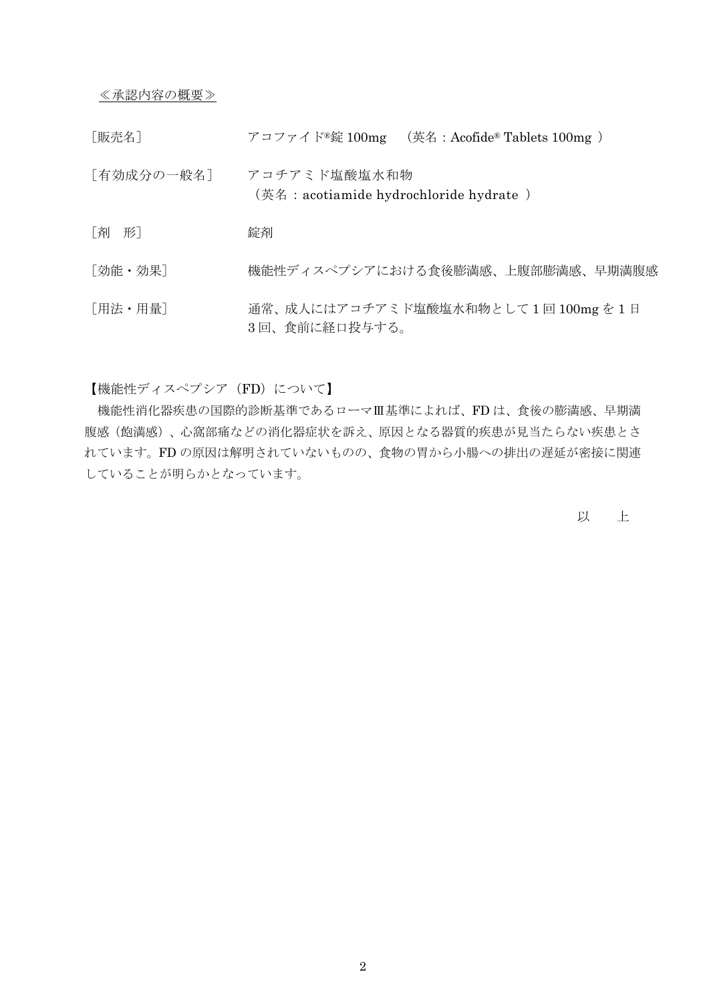≪承認内容の概要≫

[販売名] アコファイド®錠 100mg (英名:Acofide® Tablets 100mg ) [有効成分の一般名] アコチアミド塩酸塩水和物 (英名:acotiamide hydrochloride hydrate ) [剤 形] またはこの読剤 [効能・効果] 機能性ディスペプシアにおける食後膨満感、上腹部膨満感、早期満腹感 [用法・用量] 通常、成人にはアコチアミド塩酸塩水和物として1回100mgを1日 3 回、食前に経口投与する。

【機能性ディスペプシア (FD)について】

機能性消化器疾患の国際的診断基準であるローマⅢ基準によれば、FD は、食後の膨満感、早期満 腹感(飽満感)、心窩部痛などの消化器症状を訴え、原因となる器質的疾患が見当たらない疾患とさ れています。FD の原因は解明されていないものの、食物の胃から小腸への排出の遅延が密接に関連 していることが明らかとなっています。

以 上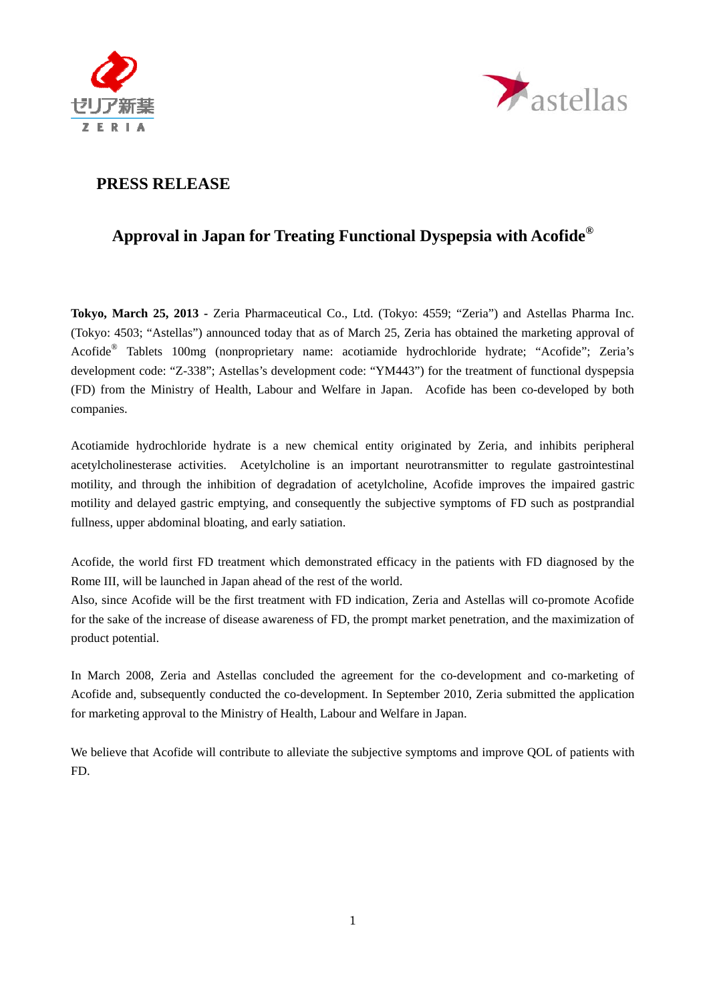



## **PRESS RELEASE**

## **Approval in Japan for Treating Functional Dyspepsia with Acofide®**

**Tokyo, March 25, 2013 -** Zeria Pharmaceutical Co., Ltd. (Tokyo: 4559; "Zeria") and Astellas Pharma Inc. (Tokyo: 4503; "Astellas") announced today that as of March 25, Zeria has obtained the marketing approval of Acofide® Tablets 100mg (nonproprietary name: acotiamide hydrochloride hydrate; "Acofide"; Zeria's development code: "Z-338"; Astellas's development code: "YM443") for the treatment of functional dyspepsia (FD) from the Ministry of Health, Labour and Welfare in Japan. Acofide has been co-developed by both companies.

Acotiamide hydrochloride hydrate is a new chemical entity originated by Zeria, and inhibits peripheral acetylcholinesterase activities. Acetylcholine is an important neurotransmitter to regulate gastrointestinal motility, and through the inhibition of degradation of acetylcholine, Acofide improves the impaired gastric motility and delayed gastric emptying, and consequently the subjective symptoms of FD such as postprandial fullness, upper abdominal bloating, and early satiation.

Acofide, the world first FD treatment which demonstrated efficacy in the patients with FD diagnosed by the Rome III, will be launched in Japan ahead of the rest of the world.

Also, since Acofide will be the first treatment with FD indication, Zeria and Astellas will co-promote Acofide for the sake of the increase of disease awareness of FD, the prompt market penetration, and the maximization of product potential.

In March 2008, Zeria and Astellas concluded the agreement for the co-development and co-marketing of Acofide and, subsequently conducted the co-development. In September 2010, Zeria submitted the application for marketing approval to the Ministry of Health, Labour and Welfare in Japan.

We believe that Acofide will contribute to alleviate the subjective symptoms and improve QOL of patients with FD.